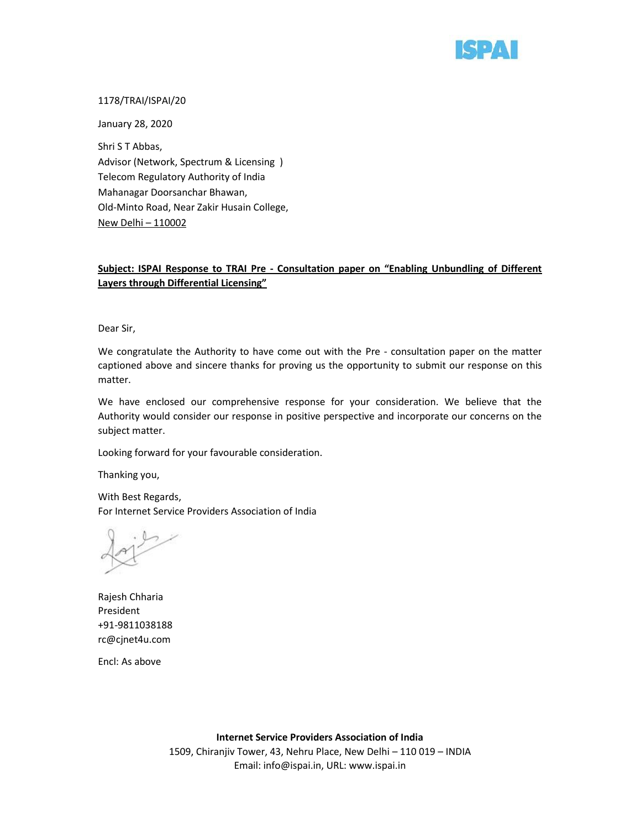

1178/TRAI/ISPAI/20

January 28, 2020

Shri S T Abbas, Advisor (Network, Spectrum & Licensing ) Telecom Regulatory Authority of India Mahanagar Doorsanchar Bhawan, Old-Minto Road, Near Zakir Husain College, New Delhi – 110002 **IITSATRAI/ISPAI/20**<br> **IJATATRAI/ISPAI/20**<br> **IJATAT STADbas,**<br> **ENDITSAT ADDES**<br> **ENDITS TADDES**<br> **INDIFIED COM REGULATOR AUTHOTIV of Italian<br>
<b>INNIFIED COM REGULAT PROPERTION**<br> **INNIFIED CONFIDENT ARENAL PROPERTION**<br> **SUB** 

## **Subject: ISPAI Response to TRAI Pre - Consultation paper on "Enabling Unbundling of Different Unbundling of Layers through Differential Licensing"**

Dear Sir,

We congratulate the Authority to have come out with the Pre - consultation paper on the matter captioned above and sincere thanks for proving us the opportunity to submit our response on this matter. Advisor (Network, Spectrum & Licensing)<br>
Fielecom Regulatory Authority of India<br>
Unidenton Rood, Near Zakir Hustain College,<br>
Unidenton Bood, Near Zakir Hustain College,<br> **Subject: ISPAI Response to TRAI Pre - Consultation** 

We have enclosed our comprehensive response for your consideration. We believe that the Authority would consider our response in positive perspective and incorporate our concerns on the subject matter.

Looking forward for your favourable consideration.

Thanking you,

With Best Regards, For Internet Service Providers Association of India

Rajesh Chharia President +91-9811038188 rc@cjnet4u.com Thanking you,<br>With Best Regards,<br>For Internet Service<br>As above<br>Rajesh Chharia<br>President<br>+91-9811038188<br>rc@cjnet4u.com<br>Encl: As above

Encl: As above

**Internet Service Providers Association of India** 1509, Chiranjiv Tower, 43, Nehru Place, New Delhi – 110 019 – INDIA Email: info@ispai.in, URL: www.ispai.in